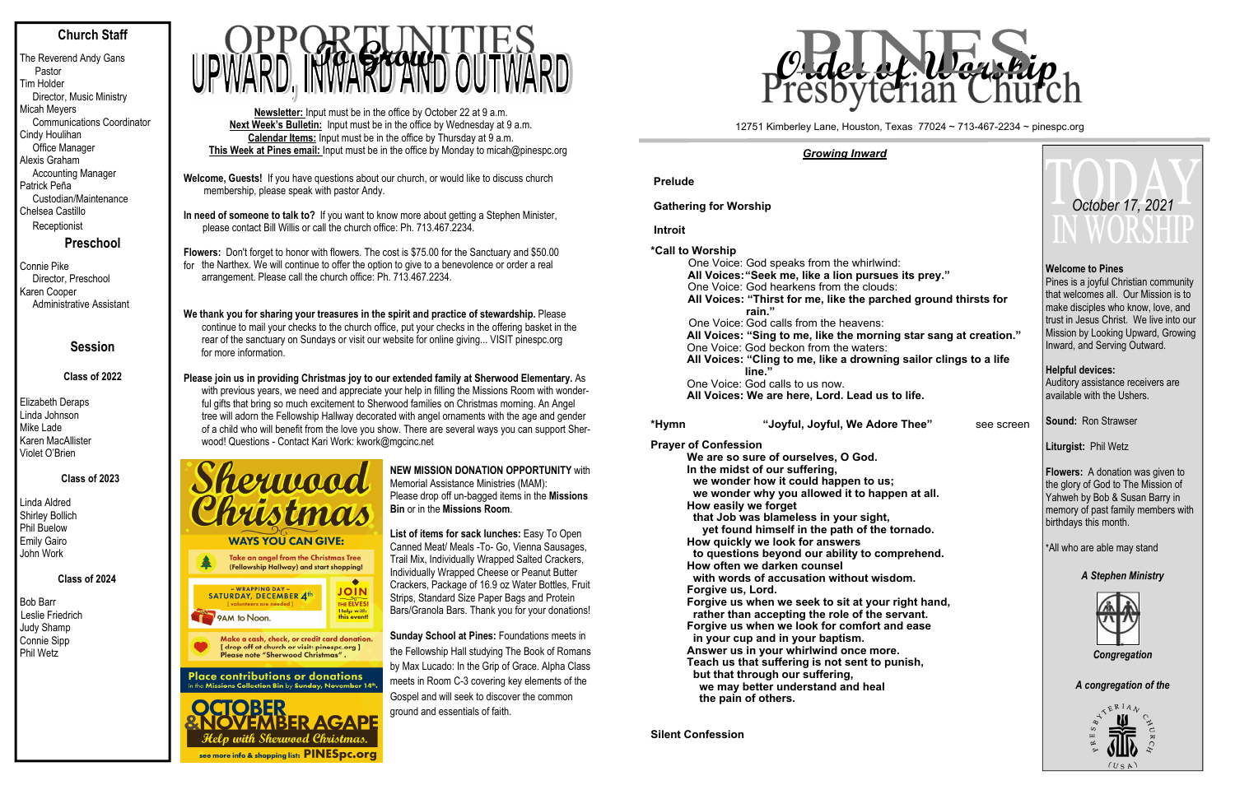# **Church Staff**

The Reverend Andy Gans Pastor Tim Holder Director, Music Ministry Micah Meyers Communications Coordinator Cindy Houlihan Office Manager Alexis Graham Accounting Manager Patrick Peña Custodian/Maintenance Chelsea Castillo Receptionist

**Preschool**

Connie Pike Director, Preschool Karen Cooper Administrative Assistant

# **Session**

## **Class of 2022**

Elizabeth Deraps Linda Johnson Mike Lade Karen MacAllister Violet O'Brien

# **Class of 2023**

Linda Aldred Shirley Bollich Phil Buelow Emily Gairo John Work

 **Class of 2024** 

Bob Barr Leslie Friedrich Judy Shamp Connie Sipp Phil Wetz

- **Welcome, Guests!** If you have questions about our church, or would like to discuss church membership, please speak with pastor Andy.
- **In need of someone to talk to?** If you want to know more about getting a Stephen Minister, please contact Bill Willis or call the church office: Ph. 713.467.2234.

**Flowers:** Don't forget to honor with flowers. The cost is \$75.00 for the Sanctuary and \$50.00 for the Narthex. We will continue to offer the option to give to a benevolence or order a real arrangement. Please call the church office: Ph. 713.467.2234.

## **We thank you for sharing your treasures in the spirit and practice of stewardship.** Please continue to mail your checks to the church office, put your checks in the offering basket in the rear of the sanctuary on Sundays or visit our website for online giving... VISIT pinespc.org for more information.

**Please join us in providing Christmas joy to our extended family at Sherwood Elementary.** As with previous years, we need and appreciate your help in filling the Missions Room with wonderful gifts that bring so much excitement to Sherwood families on Christmas morning. An Angel tree will adorn the Fellowship Hallway decorated with angel ornaments with the age and gender of a child who will benefit from the love you show. There are several ways you can support Sherwood! Questions - Contact Kari Work: kwork@mgcinc.net



#### **Place contributions or donations** in the Missions Collection Bin by Sunday, November  $14^{\rm th}$



**Newsletter:** Input must be in the office by October 22 at 9 a.m. **Next Week's Bulletin:** Input must be in the office by Wednesday at 9 a.m. **Calendar Items:** Input must be in the office by Thursday at 9 a.m. **This Week at Pines email:** Input must be in the office by Monday to micah@pinespc.org



## **NEW MISSION DONATION OPPORTUNITY** with Memorial Assistance Ministries (MAM): Please drop off un-bagged items in the **Missions Bin** or in the **Missions Room**.

**List of items for sack lunches:** Easy To Open Canned Meat/ Meals -To- Go, Vienna Sausages, Trail Mix, Individually Wrapped Salted Crackers, Individually Wrapped Cheese or Peanut Butter Crackers, Package of 16.9 oz Water Bottles, Fruit Strips, Standard Size Paper Bags and Protein Bars/Granola Bars. Thank you for your donations!

**Sunday School at Pines:** Foundations meets in the Fellowship Hall studying The Book of Romans by Max Lucado: In the Grip of Grace. Alpha Class meets in Room C-3 covering key elements of the Gospel and will seek to discover the common ground and essentials of faith.

## *Growing Inward*

**Prelude**

**Gathering for Worship** 

 **Introit**

**\*Call to Worship**

One Voice: God speaks from the whirlwind: **All Voices: "Seek me, like a lion pursues its prey."** One Voice: God hearkens from the clouds: **All Voices: "Thirst for me, like the parched ground thirsts for rain."** One Voice: God calls from the heavens: All Voices: "Sing to me, like the morning star sang at creation." One Voice: God beckon from the waters: All Voices: "Cling to me, like a drowning sailor clings to a  **line."** One Voice: God calls to us now. **All Voices: We are here, Lord. Lead us to life.** 

**\*Hy mn**

"Joyful, Joyful, We Adore Thee" see

**Prayer of Confession**

**We are so sure of ourselves, O God. In the midst of our suffering, we wonder how it could happen to us; we wonder why you allowed it to happen at all. How easily we forget that Job was blameless in your sight, yet found himself in the path of the tornado. How quickly we look for answers to questions beyond our ability to comprehend. How often we darken counsel with words of accusation without wisdom. Forgive us, Lord. Forgive us when we seek to sit at your right hand, rather than accepting the role of the servant. Forgive us when we look for comfort and ease in your cup and in your baptism. Answer us in your whirlwind once more. Teach us that suffering is not sent to punish, but that through our suffering, we may better understand and heal the pain of others.** 

**Silent Confession** 

|                  | October 17, 2021                                                                                                                                                                                                                                                |  |  |  |  |  |
|------------------|-----------------------------------------------------------------------------------------------------------------------------------------------------------------------------------------------------------------------------------------------------------------|--|--|--|--|--|
| s for<br>ation." | <b>Welcome to Pines</b><br>Pines is a joyful Christian community<br>that welcomes all. Our Mission is to<br>make disciples who know, love, and<br>trust in Jesus Christ. We live into our<br>Mission by Looking Upward, Growing<br>Inward, and Serving Outward. |  |  |  |  |  |
| a life           | <b>Helpful devices:</b><br>Auditory assistance receivers are<br>available with the Ushers.                                                                                                                                                                      |  |  |  |  |  |
| e screen؛        | Sound: Ron Strawser<br>Liturgist: Phil Wetz                                                                                                                                                                                                                     |  |  |  |  |  |
|                  | <b>Flowers:</b> A donation was given to<br>the glory of God to The Mission of<br>Yahweh by Bob & Susan Barry in<br>memory of past family members with<br>birthdays this month.                                                                                  |  |  |  |  |  |
|                  | *All who are able may stand                                                                                                                                                                                                                                     |  |  |  |  |  |
|                  | <b>A Stephen Ministry</b><br>Congregation                                                                                                                                                                                                                       |  |  |  |  |  |
|                  | A congregation of the                                                                                                                                                                                                                                           |  |  |  |  |  |
|                  | $R_{R}$ $A_{A}$<br>⇙                                                                                                                                                                                                                                            |  |  |  |  |  |

 $(USA)$ 

### 12751 Kimberley Lane, Houston, Texas 77024 ~ 713-467-2234 ~ pinespc.org